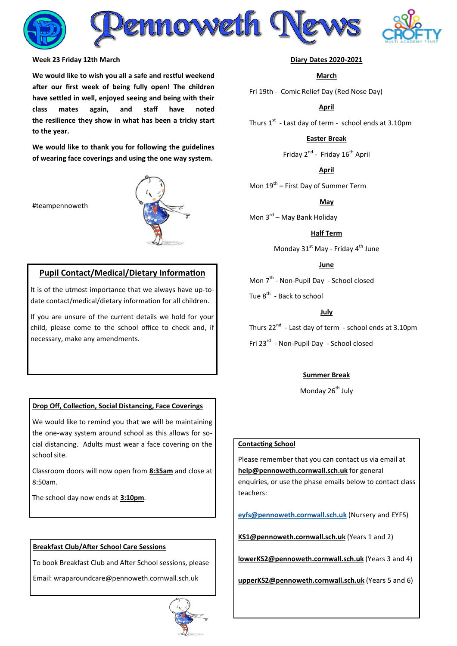

#### **Week 23 Friday 12th March**

**We would like to wish you all a safe and restful weekend after our first week of being fully open! The children have settled in well, enjoyed seeing and being with their class mates again, and staff have noted the resilience they show in what has been a tricky start to the year.**

**We would like to thank you for following the guidelines of wearing face coverings and using the one way system.**

#teampennoweth



# **Pupil Contact/Medical/Dietary Information**

It is of the utmost importance that we always have up-todate contact/medical/dietary information for all children.

If you are unsure of the current details we hold for your child, please come to the school office to check and, if necessary, make any amendments.

#### **Drop Off, Collection, Social Distancing, Face Coverings**

We would like to remind you that we will be maintaining the one-way system around school as this allows for social distancing. Adults must wear a face covering on the school site.

Classroom doors will now open from **8:35am** and close at 8:50am.

The school day now ends at **3:10pm**.

#### **Breakfast Club/After School Care Sessions**

To book Breakfast Club and After School sessions, please

Email: wraparoundcare@pennoweth.cornwall.sch.uk



#### **Diary Dates 2020-2021**

## **March**

Fri 19th - Comic Relief Day (Red Nose Day)

#### **April**

Thurs  $1^{st}$  - Last day of term - school ends at 3.10pm

# **Easter Break**

Friday 2<sup>nd</sup> - Friday 16<sup>th</sup> April

**April**

Mon 19<sup>th</sup> – First Day of Summer Term

**May**

Mon 3<sup>rd</sup> – May Bank Holiday

#### **Half Term**

Monday 31<sup>st</sup> May - Friday 4<sup>th</sup> June

## **June**

Mon 7<sup>th</sup> - Non-Pupil Day - School closed

Tue 8<sup>th</sup> - Back to school

## **July**

Thurs 22<sup>nd</sup> - Last day of term - school ends at 3.10pm Fri 23<sup>rd</sup> - Non-Pupil Day - School closed

#### **Summer Break**

Monday 26<sup>th</sup> July

#### **Contacting School**

Please remember that you can contact us via email at **[help@pennoweth.cornwall.sch.uk](mailto:help@pennoweth.cornwall.sch.uk)** for general enquiries, or use the phase emails below to contact class teachers[:](mailto:ey%20fs@pennoweth.cornwall.sch.uk)

**[eyfs@pennoweth.cornwall.sch.uk](mailto:ey%20fs@pennoweth.cornwall.sch.uk)** (Nursery and EYFS)

**[KS1@pennoweth.cornwall.sch.uk](mailto:KS1@pennoweth.cornwall.sch.uk)** (Years 1 and 2)

**[lowerKS2@pennoweth.cornwall.sch.uk](mailto:lowerKS2@pennoweth.cornwall.sch.uk)** (Years 3 and 4)

**[upperKS2@pennoweth.cornwall.sch.uk](mailto:upperKS2@pennoweth.cornwall.sch.uk)** (Years 5 and 6)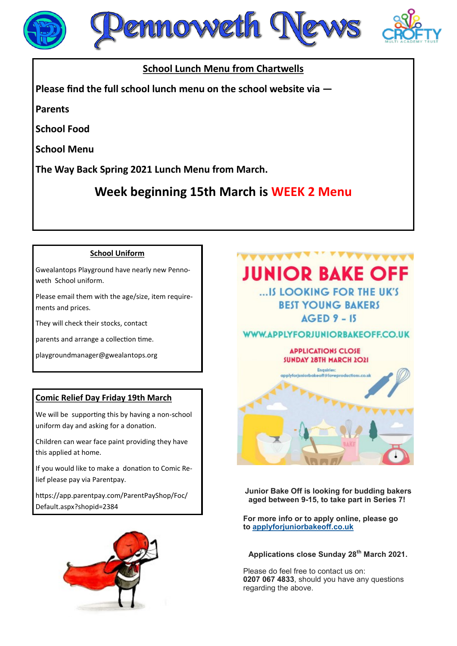





# **School Lunch Menu from Chartwells**

**Please find the full school lunch menu on the school website via —**

**Parents**

**School Food**

**School Menu**

**The Way Back Spring 2021 Lunch Menu from March.**

**Week beginning 15th March is WEEK 2 Menu**

# **School Uniform**

Gwealantops Playground have nearly new Pennoweth School uniform.

Please email them with the age/size, item requirements and prices.

They will check their stocks, contact

parents and arrange a collection time.

playgroundmanager@gwealantops.org

# **Comic Relief Day Friday 19th March**

We will be supporting this by having a non-school uniform day and asking for a donation.

Children can wear face paint providing they have this applied at home.

If you would like to make a donation to Comic Relief please pay via Parentpay.

https://app.parentpay.com/ParentPayShop/Foc/ Default.aspx?shopid=2384



# **JUNIOR BAKE OFF** ... IS LOOKING FOR THE UK'S

**BEST YOUNG BAKERS**  $AGED 9 - 15$ 

**WWW.APPLYFORJUNIORBAKEOFF.CO.UK** 

# **APPLICATIONS CLOSE SUNDAY 28TH MARCH 2021**



**Junior Bake Off is looking for budding bakers aged between 9-15, to take part in Series 7!**

**For more info or to apply online, please go to [applyforjuniorbakeoff.co.uk](http://applyforjuniorbakeoff.co.uk/)**

# **Applications close Sunday 28th March 2021.**

Please do feel free to contact us on: **0207 067 4833**, should you have any questions regarding the above.